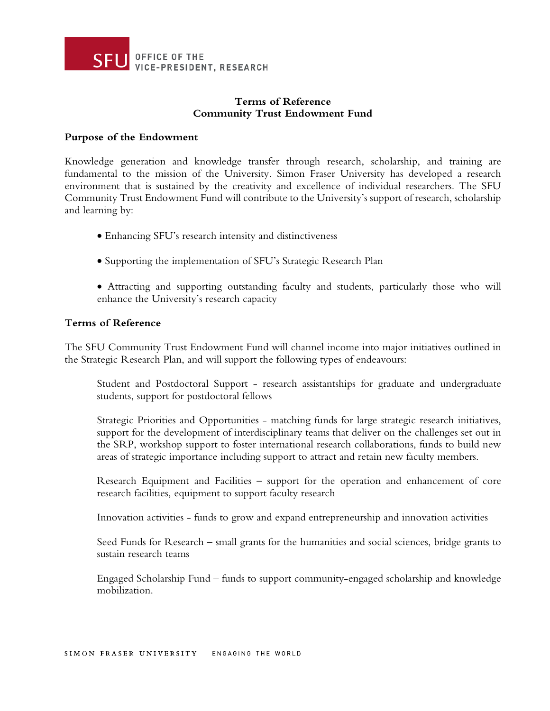

# **Terms of Reference Community Trust Endowment Fund**

#### **Purpose of the Endowment**

Knowledge generation and knowledge transfer through research, scholarship, and training are fundamental to the mission of the University. Simon Fraser University has developed a research environment that is sustained by the creativity and excellence of individual researchers. The SFU Community Trust Endowment Fund will contribute to the University's support of research, scholarship and learning by:

- Enhancing SFU's research intensity and distinctiveness
- Supporting the implementation of SFU's Strategic Research Plan
- Attracting and supporting outstanding faculty and students, particularly those who will enhance the University's research capacity

#### **Terms of Reference**

The SFU Community Trust Endowment Fund will channel income into major initiatives outlined in the Strategic Research Plan, and will support the following types of endeavours:

Student and Postdoctoral Support - research assistantships for graduate and undergraduate students, support for postdoctoral fellows

Strategic Priorities and Opportunities - matching funds for large strategic research initiatives, support for the development of interdisciplinary teams that deliver on the challenges set out in the SRP, workshop support to foster international research collaborations, funds to build new areas of strategic importance including support to attract and retain new faculty members.

Research Equipment and Facilities – support for the operation and enhancement of core research facilities, equipment to support faculty research

Innovation activities - funds to grow and expand entrepreneurship and innovation activities

Seed Funds for Research – small grants for the humanities and social sciences, bridge grants to sustain research teams

Engaged Scholarship Fund – funds to support community-engaged scholarship and knowledge mobilization.